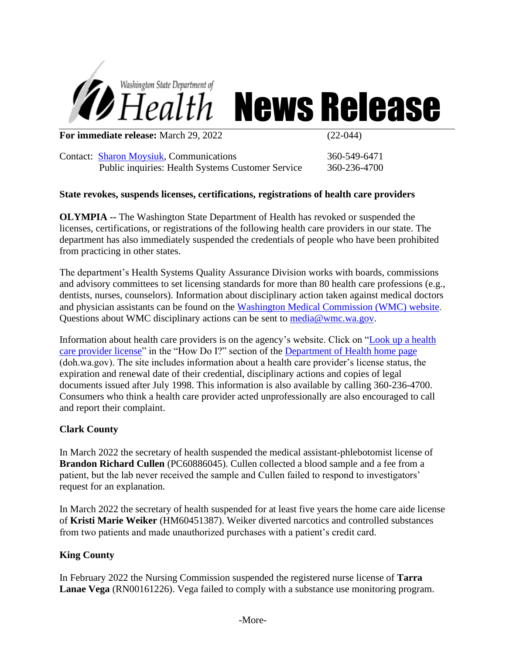

# *Health* News Release

**For immediate release:** March 29, 2022 (22-044)

Contact: [Sharon Moysiuk,](mailto:Sharon.moysiuk@doh.wa.gov) Communications 360-549-6471 Public inquiries: Health Systems Customer Service 360-236-4700

## **State revokes, suspends licenses, certifications, registrations of health care providers**

**OLYMPIA --** The Washington State Department of Health has revoked or suspended the licenses, certifications, or registrations of the following health care providers in our state. The department has also immediately suspended the credentials of people who have been prohibited from practicing in other states.

The department's Health Systems Quality Assurance Division works with boards, commissions and advisory committees to set licensing standards for more than 80 health care professions (e.g., dentists, nurses, counselors). Information about disciplinary action taken against medical doctors and physician assistants can be found on the [Washington Medical Commission \(WMC\) website.](http://www.wmc.wa.gov/) Questions about WMC disciplinary actions can be sent to [media@wmc.wa.gov.](mailto:media@wmc.wa.gov)

Information about health care providers is on the agency's website. Click on ["Look up a health](https://fortress.wa.gov/doh/providercredentialsearch/) [care provider license"](https://fortress.wa.gov/doh/providercredentialsearch/) in the "How Do I?" section of the [Department of Health home page](http://www.doh.wa.gov/Home.aspx) (doh.wa.gov). The site includes information about a health care provider's license status, the expiration and renewal date of their credential, disciplinary actions and copies of legal documents issued after July 1998. This information is also available by calling 360-236-4700. Consumers who think a health care provider acted unprofessionally are also encouraged to call and report their complaint.

## **Clark County**

In March 2022 the secretary of health suspended the medical assistant-phlebotomist license of **Brandon Richard Cullen** (PC60886045). Cullen collected a blood sample and a fee from a patient, but the lab never received the sample and Cullen failed to respond to investigators' request for an explanation.

In March 2022 the secretary of health suspended for at least five years the home care aide license of **Kristi Marie Weiker** (HM60451387). Weiker diverted narcotics and controlled substances from two patients and made unauthorized purchases with a patient's credit card.

## **King County**

In February 2022 the Nursing Commission suspended the registered nurse license of **Tarra Lanae Vega** (RN00161226). Vega failed to comply with a substance use monitoring program.